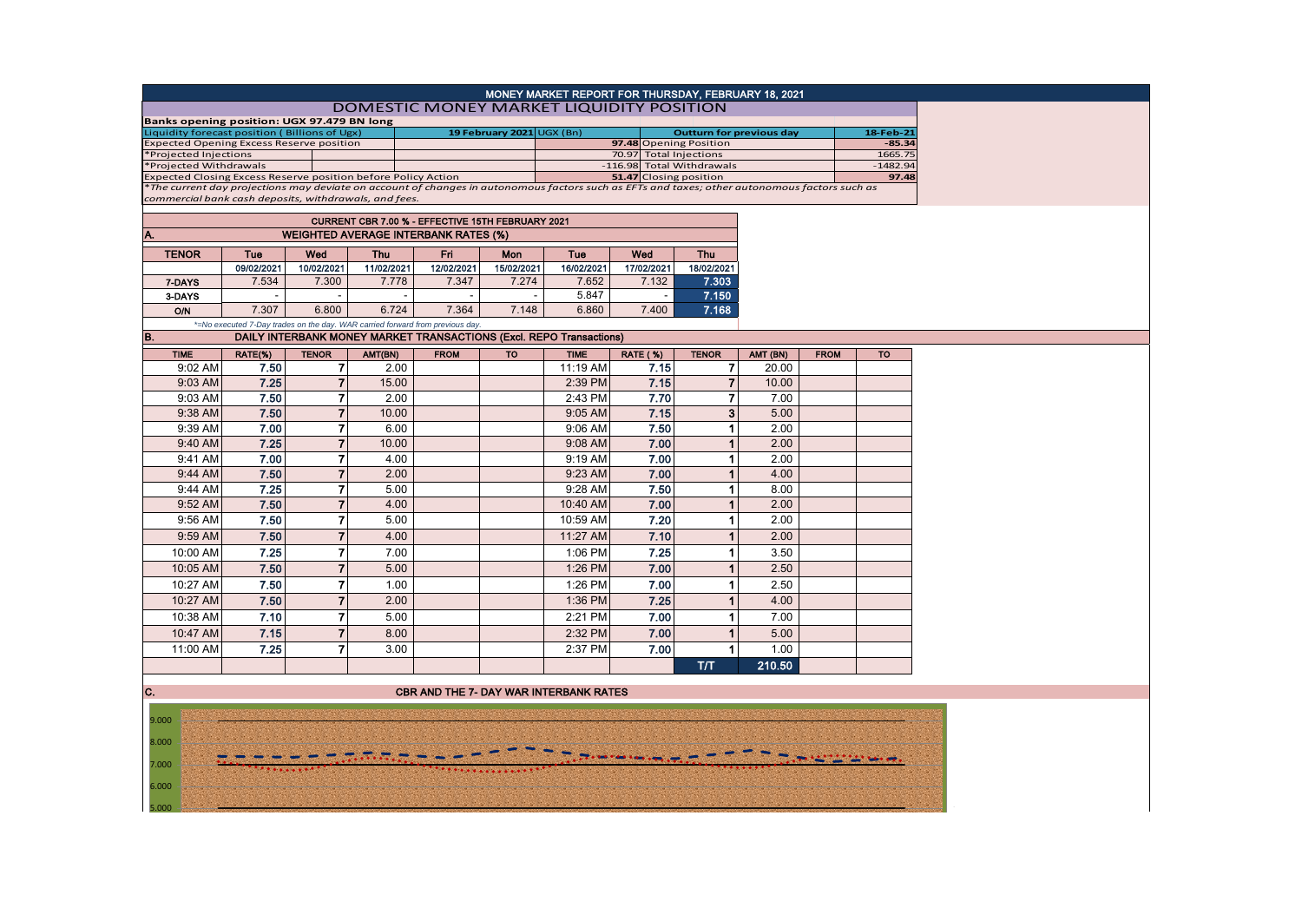| MONEY MARKET REPORT FOR THURSDAY, FEBRUARY 18, 2021 |                                                                                                                                                                                                        |                |            |                                                                               |                           |                           |                        |                      |                                 |             |            |  |
|-----------------------------------------------------|--------------------------------------------------------------------------------------------------------------------------------------------------------------------------------------------------------|----------------|------------|-------------------------------------------------------------------------------|---------------------------|---------------------------|------------------------|----------------------|---------------------------------|-------------|------------|--|
| DOMESTIC MONEY MARKET LIQUIDITY POSITION            |                                                                                                                                                                                                        |                |            |                                                                               |                           |                           |                        |                      |                                 |             |            |  |
| Banks opening position: UGX 97.479 BN long          |                                                                                                                                                                                                        |                |            |                                                                               |                           |                           |                        |                      |                                 |             |            |  |
| Liquidity forecast position (Billions of Ugx)       |                                                                                                                                                                                                        |                |            |                                                                               | 19 February 2021 UGX (Bn) |                           |                        |                      | <b>Outturn for previous day</b> |             | 18-Feb-21  |  |
| <b>Expected Opening Excess Reserve position</b>     |                                                                                                                                                                                                        |                |            |                                                                               |                           |                           | 97.48 Opening Position |                      |                                 |             | $-85.34$   |  |
| *Projected Injections                               |                                                                                                                                                                                                        |                |            |                                                                               |                           |                           | 70.97 Total Injections |                      |                                 |             | 1665.75    |  |
|                                                     | *Projected Withdrawals<br>Expected Closing Excess Reserve position before Policy Action                                                                                                                |                |            |                                                                               |                           | -116.98 Total Withdrawals |                        |                      |                                 |             | $-1482.94$ |  |
|                                                     |                                                                                                                                                                                                        |                |            |                                                                               |                           | 51.47 Closing position    |                        |                      |                                 |             | 97.48      |  |
|                                                     | *The current day projections may deviate on account of changes in autonomous factors such as EFTs and taxes; other autonomous factors such as<br>commercial bank cash deposits, withdrawals, and fees. |                |            |                                                                               |                           |                           |                        |                      |                                 |             |            |  |
|                                                     |                                                                                                                                                                                                        |                |            |                                                                               |                           |                           |                        |                      |                                 |             |            |  |
|                                                     | CURRENT CBR 7.00 % - EFFECTIVE 15TH FEBRUARY 2021                                                                                                                                                      |                |            |                                                                               |                           |                           |                        |                      |                                 |             |            |  |
|                                                     |                                                                                                                                                                                                        |                |            | <b>WEIGHTED AVERAGE INTERBANK RATES (%)</b>                                   |                           |                           |                        |                      |                                 |             |            |  |
| <b>TENOR</b>                                        | Tue                                                                                                                                                                                                    | Wed            | Thu        | Fri                                                                           | Mon                       | Tue                       | Wed                    | <b>Thu</b>           |                                 |             |            |  |
|                                                     | 09/02/2021                                                                                                                                                                                             | 10/02/2021     | 11/02/2021 | 12/02/2021                                                                    | 15/02/2021                | 16/02/2021                | 17/02/2021             | 18/02/2021           |                                 |             |            |  |
| 7-DAYS                                              | 7.534                                                                                                                                                                                                  | 7.300          | 7.778      | 7.347                                                                         | 7.274                     | 7.652                     | 7.132                  | 7.303                |                                 |             |            |  |
| 3-DAYS                                              |                                                                                                                                                                                                        |                |            |                                                                               |                           | 5.847                     |                        | 7.150                |                                 |             |            |  |
| <b>O/N</b>                                          | 7.307                                                                                                                                                                                                  | 6.800          | 6.724      | 7.364                                                                         | 7.148                     | 6.860                     | 7.400                  | 7.168                |                                 |             |            |  |
|                                                     |                                                                                                                                                                                                        |                |            | *=No executed 7-Day trades on the day. WAR carried forward from previous day. |                           |                           |                        |                      |                                 |             |            |  |
| B.                                                  |                                                                                                                                                                                                        |                |            | DAILY INTERBANK MONEY MARKET TRANSACTIONS (Excl. REPO Transactions)           |                           |                           |                        |                      |                                 |             |            |  |
| <b>TIME</b>                                         | RATE(%)                                                                                                                                                                                                | <b>TENOR</b>   | AMT(BN)    | <b>FROM</b>                                                                   | <b>TO</b>                 | <b>TIME</b>               | <b>RATE (%)</b>        | <b>TENOR</b>         | AMT (BN)                        | <b>FROM</b> | <b>TO</b>  |  |
| 9:02 AM                                             | 7.50                                                                                                                                                                                                   | $\overline{7}$ | 2.00       |                                                                               |                           | 11:19 AM                  | 7.15                   | 7                    | 20.00                           |             |            |  |
| 9:03 AM                                             | 7.25                                                                                                                                                                                                   | $\overline{7}$ | 15.00      |                                                                               |                           | 2:39 PM                   | 7.15                   | $\overline{7}$       | 10.00                           |             |            |  |
| 9:03 AM                                             | 7.50                                                                                                                                                                                                   | $\overline{7}$ | 2.00       |                                                                               |                           | 2:43 PM                   | 7.70                   | $\overline{7}$       | 7.00                            |             |            |  |
| 9:38 AM                                             | 7.50                                                                                                                                                                                                   | $\overline{7}$ | 10.00      |                                                                               |                           | 9:05 AM                   | 7.15                   | 3                    | 5.00                            |             |            |  |
| 9:39 AM                                             | 7.00                                                                                                                                                                                                   | $\overline{7}$ | 6.00       |                                                                               |                           | 9:06 AM                   | 7.50                   |                      | 2.00                            |             |            |  |
| 9:40 AM                                             | 7.25                                                                                                                                                                                                   | $\overline{7}$ | 10.00      |                                                                               |                           | 9:08 AM                   |                        |                      | 2.00                            |             |            |  |
|                                                     | 7.00                                                                                                                                                                                                   | $\overline{7}$ |            |                                                                               |                           |                           | 7.00                   |                      |                                 |             |            |  |
| 9:41 AM                                             |                                                                                                                                                                                                        |                | 4.00       |                                                                               |                           | 9:19 AM                   | 7.00                   | $\blacktriangleleft$ | 2.00                            |             |            |  |
| 9:44 AM                                             | 7.50                                                                                                                                                                                                   | $\overline{7}$ | 2.00       |                                                                               |                           | 9:23 AM                   | 7.00                   |                      | 4.00                            |             |            |  |
| 9:44 AM                                             | 7.25                                                                                                                                                                                                   | $\overline{7}$ | 5.00       |                                                                               |                           | 9:28 AM                   | 7.50                   | 1                    | 8.00                            |             |            |  |
| 9:52 AM                                             | 7.50                                                                                                                                                                                                   | $\overline{7}$ | 4.00       |                                                                               |                           | 10:40 AM                  | 7.00                   |                      | 2.00                            |             |            |  |
| 9:56 AM                                             | 7.50                                                                                                                                                                                                   | $\overline{7}$ | 5.00       |                                                                               |                           | 10:59 AM                  | 7.20                   | 1                    | 2.00                            |             |            |  |
| 9:59 AM                                             | 7.50                                                                                                                                                                                                   | $\overline{7}$ | 4.00       |                                                                               |                           | 11:27 AM                  | 7.10                   |                      | 2.00                            |             |            |  |
| 10:00 AM                                            | 7.25                                                                                                                                                                                                   | $\overline{7}$ | 7.00       |                                                                               |                           | 1:06 PM                   | 7.25                   | 1                    | 3.50                            |             |            |  |
| 10:05 AM                                            | 7.50                                                                                                                                                                                                   | $\overline{7}$ | 5.00       |                                                                               |                           | 1:26 PM                   | 7.00                   | $\blacktriangleleft$ | 2.50                            |             |            |  |
| 10:27 AM                                            | 7.50                                                                                                                                                                                                   | $\overline{7}$ | 1.00       |                                                                               |                           | 1:26 PM                   | 7.00                   | 1                    | 2.50                            |             |            |  |
| 10:27 AM                                            | 7.50                                                                                                                                                                                                   | $\overline{7}$ | 2.00       |                                                                               |                           | 1:36 PM                   | 7.25                   |                      | 4.00                            |             |            |  |
| 10:38 AM                                            | 7.10                                                                                                                                                                                                   | $\overline{7}$ | 5.00       |                                                                               |                           | 2:21 PM                   | 7.00                   |                      | 7.00                            |             |            |  |
| 10:47 AM                                            | 7.15                                                                                                                                                                                                   | $\overline{7}$ | 8.00       |                                                                               |                           | 2:32 PM                   | 7.00                   |                      | 5.00                            |             |            |  |
| 11:00 AM                                            | 7.25                                                                                                                                                                                                   | $\overline{7}$ | 3.00       |                                                                               |                           | 2:37 PM                   | 7.00                   |                      | 1.00                            |             |            |  |
|                                                     |                                                                                                                                                                                                        |                |            |                                                                               |                           |                           |                        | T/T                  | 210.50                          |             |            |  |
|                                                     |                                                                                                                                                                                                        |                |            |                                                                               |                           |                           |                        |                      |                                 |             |            |  |
| C.                                                  |                                                                                                                                                                                                        |                |            | <b>CBR AND THE 7- DAY WAR INTERBANK RATES</b>                                 |                           |                           |                        |                      |                                 |             |            |  |
|                                                     |                                                                                                                                                                                                        |                |            |                                                                               |                           |                           |                        |                      |                                 |             |            |  |
| 9.000                                               |                                                                                                                                                                                                        |                |            |                                                                               |                           |                           |                        |                      |                                 |             |            |  |

 $\frac{\frac{1}{2} \sum_{i=1}^{n} \sum_{i=1}^{n} \sum_{j=1}^{n} \sum_{j=1}^{n} \sum_{j=1}^{n} \sum_{j=1}^{n} \sum_{j=1}^{n} \sum_{j=1}^{n} \sum_{j=1}^{n} \sum_{j=1}^{n} \sum_{j=1}^{n} \sum_{j=1}^{n} \sum_{j=1}^{n} \sum_{j=1}^{n} \sum_{j=1}^{n} \sum_{j=1}^{n} \sum_{j=1}^{n} \sum_{j=1}^{n} \sum_{j=1}^{n} \sum_{j=1}^{n} \sum_{j=1}^{n} \$ 

5.000 6.000 7.000 8.000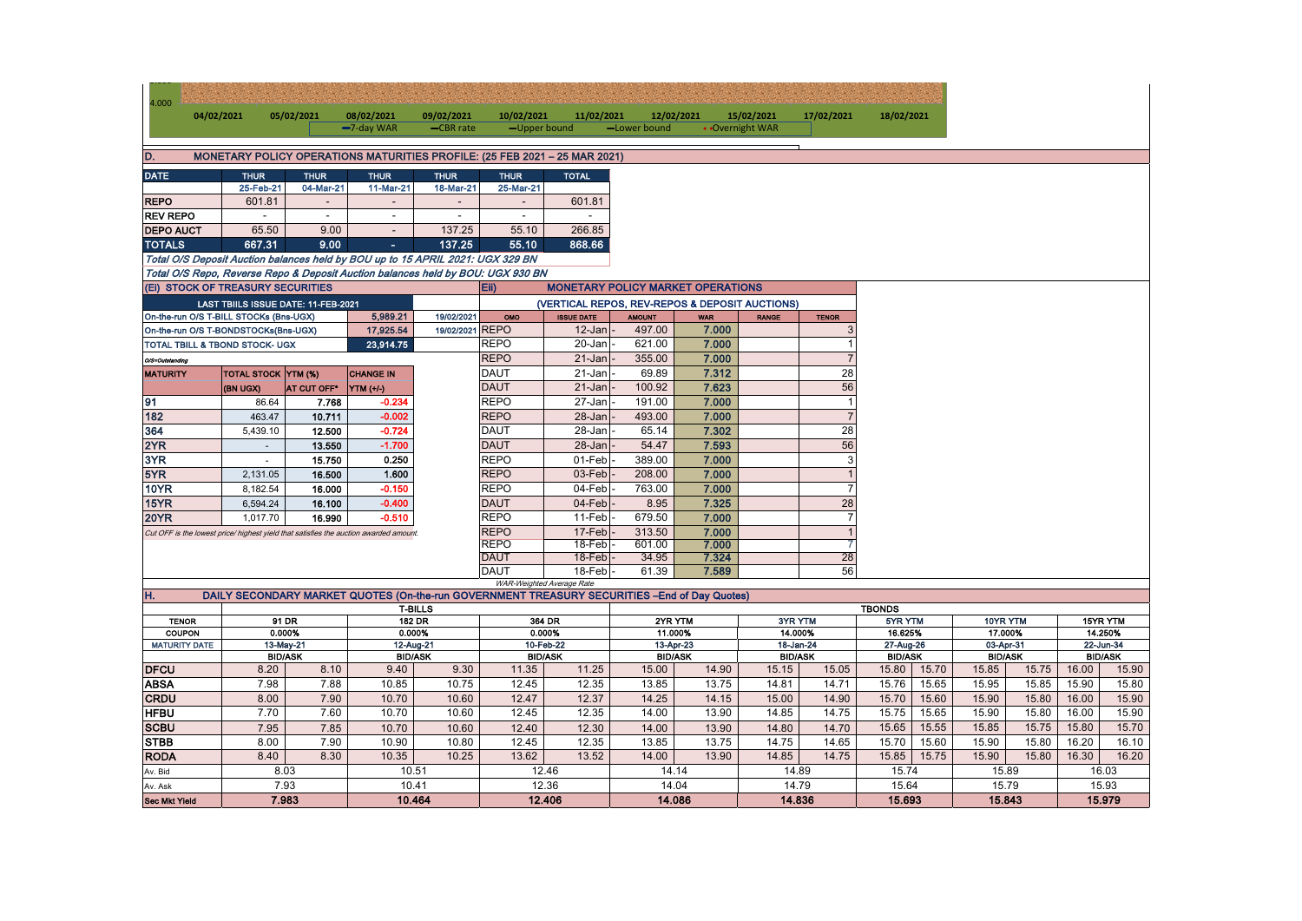| 4.000                                                                                | 04/02/2021                                          |                                        | 05/02/2021      | 08/02/2021                                                                                    | 09/02/2021               | 10/02/2021                 | 11/02/2021                                     | 12/02/2021     |                             | 15/02/2021      | 17/02/2021                  | 18/02/2021    |                             |         |                             |         |          |  |
|--------------------------------------------------------------------------------------|-----------------------------------------------------|----------------------------------------|-----------------|-----------------------------------------------------------------------------------------------|--------------------------|----------------------------|------------------------------------------------|----------------|-----------------------------|-----------------|-----------------------------|---------------|-----------------------------|---------|-----------------------------|---------|----------|--|
|                                                                                      |                                                     |                                        |                 | -7-day WAR                                                                                    | -CBR rate                | -Upper bound               |                                                | -Lower bound   |                             | • Overnight WAR |                             |               |                             |         |                             |         |          |  |
| D.<br>MONETARY POLICY OPERATIONS MATURITIES PROFILE: (25 FEB 2021 - 25 MAR 2021)     |                                                     |                                        |                 |                                                                                               |                          |                            |                                                |                |                             |                 |                             |               |                             |         |                             |         |          |  |
| <b>DATE</b>                                                                          |                                                     | <b>THUR</b>                            | <b>THUR</b>     | <b>THUR</b>                                                                                   | <b>THUR</b>              | <b>THUR</b>                | <b>TOTAL</b>                                   |                |                             |                 |                             |               |                             |         |                             |         |          |  |
|                                                                                      |                                                     | 25-Feb-21                              | 04-Mar-21       | 11-Mar-21                                                                                     | 18-Mar-21                | 25-Mar-21                  |                                                |                |                             |                 |                             |               |                             |         |                             |         |          |  |
| <b>REPO</b>                                                                          |                                                     | 601.81                                 | $\sim$          | $\sim$                                                                                        | $\overline{\phantom{a}}$ | $\overline{\phantom{a}}$   | 601.81                                         |                |                             |                 |                             |               |                             |         |                             |         |          |  |
| <b>REV REPO</b>                                                                      |                                                     | $\sim$                                 | $\sim$          | $\sim$                                                                                        | $\blacksquare$           | $\sim$                     | $\sim$                                         |                |                             |                 |                             |               |                             |         |                             |         |          |  |
| <b>DEPO AUCT</b>                                                                     |                                                     | 65.50                                  | 9.00            | $\sim$                                                                                        | 137.25                   | 55.10                      | 266.85                                         |                |                             |                 |                             |               |                             |         |                             |         |          |  |
| <b>TOTALS</b>                                                                        |                                                     | 667.31                                 | 9.00            | $\sim$                                                                                        | 137.25                   | 55.10                      | 868.66                                         |                |                             |                 |                             |               |                             |         |                             |         |          |  |
|                                                                                      |                                                     |                                        |                 | Total O/S Deposit Auction balances held by BOU up to 15 APRIL 2021: UGX 329 BN                |                          |                            |                                                |                |                             |                 |                             |               |                             |         |                             |         |          |  |
|                                                                                      |                                                     |                                        |                 | Total O/S Repo, Reverse Repo & Deposit Auction balances held by BOU: UGX 930 BN               |                          |                            |                                                |                |                             |                 |                             |               |                             |         |                             |         |          |  |
|                                                                                      |                                                     | (Ei) STOCK OF TREASURY SECURITIES      |                 |                                                                                               |                          | Eii)                       | <b>MONETARY POLICY MARKET OPERATIONS</b>       |                |                             |                 |                             |               |                             |         |                             |         |          |  |
| LAST TBIILS ISSUE DATE: 11-FEB-2021                                                  |                                                     |                                        |                 |                                                                                               |                          |                            | (VERTICAL REPOS, REV-REPOS & DEPOSIT AUCTIONS) |                |                             |                 |                             |               |                             |         |                             |         |          |  |
|                                                                                      |                                                     | On-the-run O/S T-BILL STOCKs (Bns-UGX) |                 | 5,989.21                                                                                      | 19/02/2021               | OMO                        | <b>ISSUE DATE</b>                              | <b>AMOUNT</b>  | <b>WAR</b>                  | <b>RANGE</b>    | <b>TENOR</b>                |               |                             |         |                             |         |          |  |
| 17,925.54<br>On-the-run O/S T-BONDSTOCKs(Bns-UGX)                                    |                                                     |                                        | 19/02/2021 REPO |                                                                                               | 12-Jan                   | 497.00                     | 7.000                                          |                | 3                           |                 |                             |               |                             |         |                             |         |          |  |
| TOTAL TBILL & TBOND STOCK- UGX<br>23,914.75                                          |                                                     |                                        |                 | <b>REPO</b>                                                                                   | 20-Jan                   | 621.00                     | 7.000                                          |                | $\mathbf{1}$                |                 |                             |               |                             |         |                             |         |          |  |
| O/S=Outstanding                                                                      |                                                     |                                        |                 |                                                                                               |                          | <b>REPO</b>                | 21-Jan                                         | 355.00         | 7.000                       |                 | $\overline{7}$              |               |                             |         |                             |         |          |  |
| <b>MATURITY</b>                                                                      |                                                     | <b>TOTAL STOCK YTM (%)</b>             |                 | <b>CHANGE IN</b>                                                                              |                          | <b>DAUT</b>                | $21 - Jan$                                     | 69.89          | 7.312                       |                 | 28                          |               |                             |         |                             |         |          |  |
|                                                                                      |                                                     | (BN UGX)                               | AT CUT OFF*     | YTM (+/-)                                                                                     |                          | <b>DAUT</b>                | $21 - Jan$                                     | 100.92         | 7.623                       |                 | 56                          |               |                             |         |                             |         |          |  |
| 91                                                                                   |                                                     | 86.64                                  | 7.768           | $-0.234$                                                                                      |                          | <b>REPO</b>                | 27-Jan                                         | 191.00         | 7.000                       |                 | $\mathbf{1}$                |               |                             |         |                             |         |          |  |
| 182                                                                                  |                                                     | 463.47                                 | 10.711          | $-0.002$                                                                                      |                          | <b>REPO</b>                | 28-Jan                                         | 493.00         | 7.000                       |                 | $\overline{7}$              |               |                             |         |                             |         |          |  |
| 364                                                                                  |                                                     | 5,439.10                               | 12.500          | $-0.724$                                                                                      |                          | <b>DAUT</b>                | 28-Jan                                         | 65.14          | 7.302                       |                 | 28                          |               |                             |         |                             |         |          |  |
| 2YR                                                                                  |                                                     | $\sim$                                 | 13.550          | $-1.700$                                                                                      |                          | <b>DAUT</b>                | 28-Jan                                         | 54.47          | 7.593                       |                 | 56                          |               |                             |         |                             |         |          |  |
| 3YR                                                                                  |                                                     | $\sim$                                 | 15.750          | 0.250                                                                                         |                          | <b>REPO</b>                | 01-Feb                                         | 389.00         | 7.000                       |                 | $\mathbf{3}$                |               |                             |         |                             |         |          |  |
| 5YR                                                                                  |                                                     | 2,131.05                               | 16.500          | 1.600                                                                                         |                          | <b>REPO</b>                | 03-Feb                                         | 208.00         | 7.000                       |                 | $\mathbf{1}$                |               |                             |         |                             |         |          |  |
| <b>10YR</b>                                                                          |                                                     | 8,182.54                               | 16.000          | $-0.150$                                                                                      |                          | <b>REPO</b>                | 04-Feb                                         | 763.00         | 7.000                       |                 | $\overline{7}$              |               |                             |         |                             |         |          |  |
| 15YR                                                                                 |                                                     | 6,594.24                               | 16.100          | $-0.400$                                                                                      |                          | <b>DAUT</b>                | 04-Feb                                         | 8.95           | 7.325                       |                 | 28                          |               |                             |         |                             |         |          |  |
| <b>20YR</b>                                                                          |                                                     | 1,017.70                               | 16.990          | $-0.510$                                                                                      |                          | <b>REPO</b>                | 11-Feb                                         | 679.50         | 7.000                       |                 | $\overline{7}$              |               |                             |         |                             |         |          |  |
| Cut OFF is the lowest price/ highest yield that satisfies the auction awarded amount |                                                     |                                        |                 |                                                                                               | <b>REPO</b>              | 17-Feb                     | 313.50                                         | 7.000          |                             | $\overline{1}$  |                             |               |                             |         |                             |         |          |  |
|                                                                                      |                                                     |                                        |                 |                                                                                               | <b>REPO</b>              | $18-Feb$                   | 601.00                                         | 7.000          |                             | 7               |                             |               |                             |         |                             |         |          |  |
|                                                                                      |                                                     |                                        |                 |                                                                                               |                          | <b>DAUT</b><br><b>DAUT</b> | 18-Feb<br>$18$ -Feb                            | 34.95<br>61.39 | 7.324<br>7.589              |                 | 28<br>56                    |               |                             |         |                             |         |          |  |
|                                                                                      |                                                     |                                        |                 |                                                                                               |                          |                            | WAR-Weighted Average Rate                      |                |                             |                 |                             |               |                             |         |                             |         |          |  |
| Η.                                                                                   |                                                     |                                        |                 | DAILY SECONDARY MARKET QUOTES (On-the-run GOVERNMENT TREASURY SECURITIES - End of Day Quotes) |                          |                            |                                                |                |                             |                 |                             |               |                             |         |                             |         |          |  |
|                                                                                      |                                                     |                                        |                 |                                                                                               | <b>T-BILLS</b>           |                            |                                                |                |                             |                 |                             | <b>TBONDS</b> |                             |         |                             |         |          |  |
| <b>TENOR</b>                                                                         |                                                     |                                        | 91 DR           | 182 DR                                                                                        |                          | 364 DR                     |                                                | 2YR YTM        |                             |                 | 3YR YTM                     |               | 5YR YTM                     |         | 10YR YTM                    |         | 15YR YTM |  |
|                                                                                      | 0.000%<br>COUPON                                    |                                        |                 | 0.000%                                                                                        |                          | 0.000%                     |                                                | 11.000%        |                             | 14.000%         |                             | 16.625%       |                             | 17.000% |                             | 14.250% |          |  |
|                                                                                      | <b>MATURITY DATE</b><br>13-May-21<br><b>BID/ASK</b> |                                        |                 | 10-Feb-22<br>12-Aug-21<br><b>BID/ASK</b><br><b>BID/ASK</b>                                    |                          |                            | 13-Apr-23<br><b>BID/ASK</b>                    |                | 18-Jan-24<br><b>BID/ASK</b> |                 | 27-Aug-26<br><b>BID/ASK</b> |               | 03-Apr-31<br><b>BID/ASK</b> |         | 22-Jun-34<br><b>BID/ASK</b> |         |          |  |
| <b>DFCU</b>                                                                          |                                                     | 8.20                                   | 8.10            | 9.40                                                                                          | 9.30                     | 11.35                      | 11.25                                          | 15.00          | 14.90                       | 15.15           | 15.05                       | 15.80         | 15.70                       | 15.85   | 15.75                       | 16.00   | 15.90    |  |
| <b>ABSA</b>                                                                          |                                                     | 7.98                                   | 7.88            | 10.85                                                                                         | 10.75                    | 12.45                      | 12.35                                          | 13.85          | 13.75                       | 14.81           | 14.71                       | 15.76         | 15.65                       | 15.95   | 15.85                       | 15.90   | 15.80    |  |
| <b>CRDU</b>                                                                          |                                                     | 8.00                                   | 7.90            | 10.70                                                                                         | 10.60                    | 12.47                      | 12.37                                          | 14.25          | 14.15                       | 15.00           | 14.90                       | 15.70         | 15.60                       | 15.90   | 15.80                       | 16.00   | 15.90    |  |
| <b>HFBU</b>                                                                          |                                                     | 7.70                                   | 7.60            | 10.70                                                                                         | 10.60                    | 12.45                      | 12.35                                          | 14.00          | 13.90                       | 14.85           | 14.75                       | 15.75         | 15.65                       | 15.90   | 15.80                       | 16.00   | 15.90    |  |
| <b>SCBU</b>                                                                          |                                                     | 7.95                                   | 7.85            | 10.70                                                                                         | 10.60                    | 12.40                      | 12.30                                          | 14.00          | 13.90                       | 14.80           | 14.70                       | 15.65         | 15.55                       | 15.85   | 15.75                       | 15.80   | 15.70    |  |
| <b>STBB</b>                                                                          |                                                     | 8.00                                   | 7.90            | 10.90                                                                                         | 10.80                    | 12.45                      | 12.35                                          | 13.85          | 13.75                       | 14.75           | 14.65                       | 15.70         | 15.60                       | 15.90   | 15.80                       | 16.20   | 16.10    |  |
| <b>RODA</b>                                                                          |                                                     | 8.40                                   | 8.30            | 10.35                                                                                         | 10.25                    | 13.62                      | 13.52                                          | 14.00          | 13.90                       | 14.85           | 14.75                       | 15.85         | 15.75                       | 15.90   | 15.80                       | 16.30   | 16.20    |  |
| Av. Bid                                                                              |                                                     |                                        | 8.03            | 10.51                                                                                         |                          |                            | 12.46                                          | 14.14          |                             | 14.89           |                             | 15.74         |                             | 15.89   |                             |         | 16.03    |  |
| Av. Ask                                                                              | 7.93                                                |                                        | 10.41           |                                                                                               | 12.36                    |                            | 14.04                                          |                | 14.79                       |                 | 15.64                       |               | 15.79                       |         | 15.93                       |         |          |  |
| <b>Sec Mkt Yield</b>                                                                 | 7.983                                               |                                        | 10.464          |                                                                                               | 12.406                   |                            | 14.086                                         |                | 14.836                      |                 | 15.693                      |               | 15.843                      |         | 15.979                      |         |          |  |